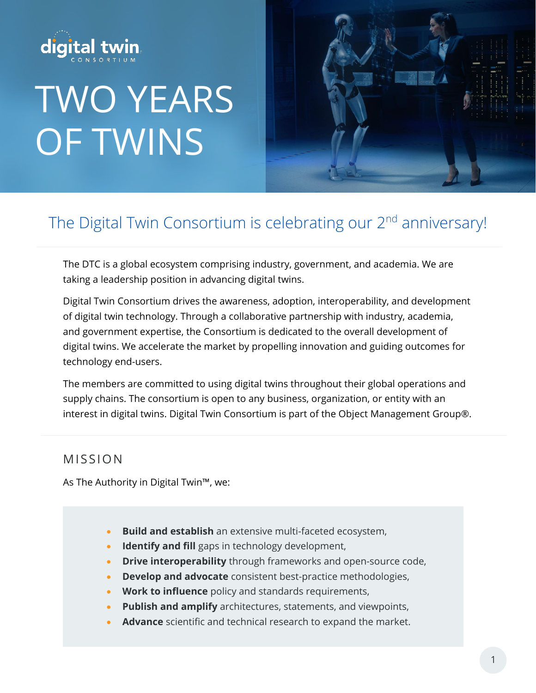

# TWO YEARS OF TWINS



## The Digital Twin Consortium is celebrating our 2<sup>nd</sup> anniversary!

The DTC is a global ecosystem comprising industry, government, and academia. We are taking a leadership position in advancing digital twins.

Digital Twin Consortium drives the awareness, adoption, interoperability, and development of digital twin technology. Through a collaborative partnership with industry, academia, and government expertise, the Consortium is dedicated to the overall development of digital twins. We accelerate the market by propelling innovation and guiding outcomes for technology end-users.

The members are committed to using digital twins throughout their global operations and supply chains. The consortium is open to any business, organization, or entity with an interest in digital twins. Digital Twin Consortium is part of the Object Management Group®.

### MISSIO N

As The Authority in Digital Twin™, we:

- **Build and establish** an extensive multi-faceted ecosystem,
- **Identify and fill** gaps in technology development,
- **Drive interoperability** through frameworks and open-source code,
- **Develop and advocate** consistent best-practice methodologies,
- **Work to influence** policy and standards requirements,
- **Publish and amplify** architectures, statements, and viewpoints,
- **Advance** scientific and technical research to expand the market.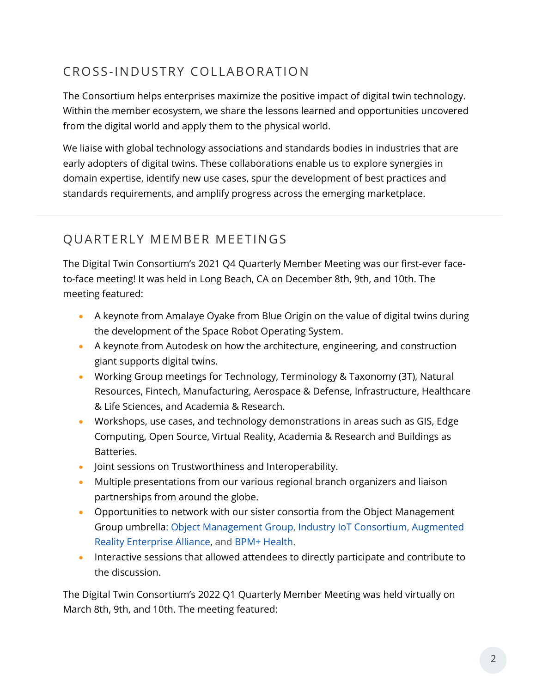## CROSS-INDUSTRY COLLABORATION

The Consortium helps enterprises maximize the positive impact of digital twin technology. Within the member ecosystem, we share the lessons learned and opportunities uncovered from the digital world and apply them to the physical world.

We liaise with global technology associations and standards bodies in industries that are early adopters of digital twins. These collaborations enable us to explore synergies in domain expertise, identify new use cases, spur the development of best practices and standards requirements, and amplify progress across the emerging marketplace.

## QUARTERLY MEMBER MEETINGS

The Digital Twin Consortium's 2021 Q4 Quarterly Member Meeting was our first-ever faceto-face meeting! It was held in Long Beach, CA on December 8th, 9th, and 10th. The meeting featured:

- A keynote from Amalaye Oyake from Blue Origin on the value of digital twins during the development of the Space Robot Operating System.
- A keynote from Autodesk on how the architecture, engineering, and construction giant supports digital twins.
- Working Group meetings for Technology, Terminology & Taxonomy (3T), Natural Resources, Fintech, Manufacturing, Aerospace & Defense, Infrastructure, Healthcare & Life Sciences, and Academia & Research.
- Workshops, use cases, and technology demonstrations in areas such as GIS, Edge Computing, Open Source, Virtual Reality, Academia & Research and Buildings as Batteries.
- Joint sessions on Trustworthiness and Interoperability.
- Multiple presentations from our various regional branch organizers and liaison partnerships from around the globe.
- Opportunities to network with our sister consortia from the Object Management Group umbrella: [Object Management Group,](https://www.omg.org/) [Industry IoT Consortium,](https://www.iiconsortium.org/) [Augmented](https://thearea.org/)  [Reality Enterprise Alliance,](https://thearea.org/) and [BPM+ Health.](https://www.bpm-plus.org/)
- Interactive sessions that allowed attendees to directly participate and contribute to the discussion.

The Digital Twin Consortium's 2022 Q1 Quarterly Member Meeting was held virtually on March 8th, 9th, and 10th. The meeting featured: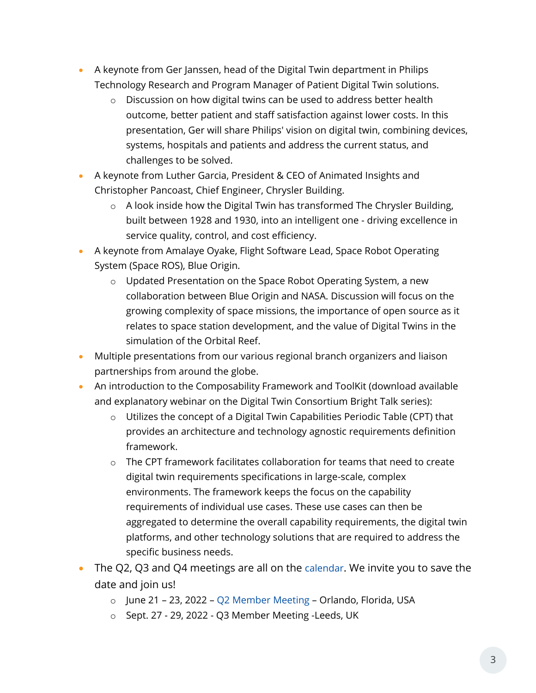- A keynote from Ger Janssen, head of the Digital Twin department in Philips Technology Research and Program Manager of Patient Digital Twin solutions.
	- o Discussion on how digital twins can be used to address better health outcome, better patient and staff satisfaction against lower costs. In this presentation, Ger will share Philips' vision on digital twin, combining devices, systems, hospitals and patients and address the current status, and challenges to be solved.
- A keynote from Luther Garcia, President & CEO of Animated Insights and Christopher Pancoast, Chief Engineer, Chrysler Building.
	- $\circ$  A look inside how the Digital Twin has transformed The Chrysler Building, built between 1928 and 1930, into an intelligent one - driving excellence in service quality, control, and cost efficiency.
- A keynote from Amalaye Oyake, Flight Software Lead, Space Robot Operating System (Space ROS), Blue Origin.
	- o Updated Presentation on the Space Robot Operating System, a new collaboration between Blue Origin and NASA. Discussion will focus on the growing complexity of space missions, the importance of open source as it relates to space station development, and the value of Digital Twins in the simulation of the Orbital Reef.
- Multiple presentations from our various regional branch organizers and liaison partnerships from around the globe.
- An introduction to the Composability Framework and ToolKit (download available and explanatory webinar on the Digital Twin Consortium Bright Talk series):
	- o Utilizes the concept of a Digital Twin Capabilities Periodic Table (CPT) that provides an architecture and technology agnostic requirements definition framework.
	- $\circ$  The CPT framework facilitates collaboration for teams that need to create digital twin requirements specifications in large-scale, complex environments. The framework keeps the focus on the capability requirements of individual use cases. These use cases can then be aggregated to determine the overall capability requirements, the digital twin platforms, and other technology solutions that are required to address the specific business needs.
- The Q2, Q3 and Q4 meetings are all on the [calendar](https://engage.digitaltwinconsortium.org/wg/All-Users/calendar). We invite you to save the date and join us!
	- o June 21 23, 2022 [Q2 Member Meeting](https://www.digitaltwinconsortium.org/q2-2022/index.htm) Orlando, Florida, USA
	- o Sept. 27 29, 2022 Q3 Member Meeting -Leeds, UK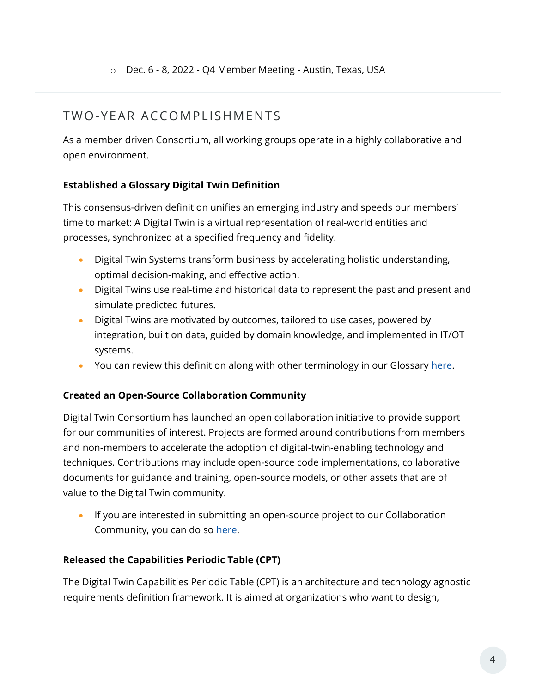## TWO-YFAR ACCOMPLISHMENTS

As a member driven Consortium, all working groups operate in a highly collaborative and open environment.

#### **Established a Glossary Digital Twin Definition**

This consensus-driven definition unifies an emerging industry and speeds our members' time to market: A Digital Twin is a virtual representation of real-world entities and processes, synchronized at a specified frequency and fidelity.

- Digital Twin Systems transform business by accelerating holistic understanding, optimal decision-making, and effective action.
- Digital Twins use real-time and historical data to represent the past and present and simulate predicted futures.
- Digital Twins are motivated by outcomes, tailored to use cases, powered by integration, built on data, guided by domain knowledge, and implemented in IT/OT systems.
- You can review this definition along with other terminology in our Glossary [here.](https://www.digitaltwinconsortium.org/glossary/glossary.html)

#### **Created an Open-Source Collaboration Community**

Digital Twin Consortium has launched an open collaboration initiative to provide support for our communities of interest. Projects are formed around contributions from members and non-members to accelerate the adoption of digital-twin-enabling technology and techniques. Contributions may include open-source code implementations, collaborative documents for guidance and training, open-source models, or other assets that are of value to the Digital Twin community.

If you are interested in submitting an open-source project to our Collaboration Community, you can do so [here.](https://www.digitaltwinconsortium.org/initiatives/open-source.htm)

#### **Released the Capabilities Periodic Table (CPT)**

The Digital Twin Capabilities Periodic Table (CPT) is an architecture and technology agnostic requirements definition framework. It is aimed at organizations who want to design,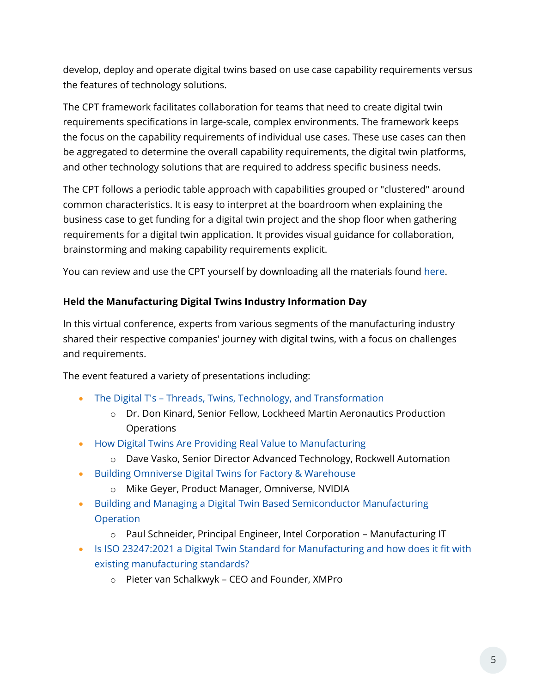develop, deploy and operate digital twins based on use case capability requirements versus the features of technology solutions.

The CPT framework facilitates collaboration for teams that need to create digital twin requirements specifications in large-scale, complex environments. The framework keeps the focus on the capability requirements of individual use cases. These use cases can then be aggregated to determine the overall capability requirements, the digital twin platforms, and other technology solutions that are required to address specific business needs.

The CPT follows a periodic table approach with capabilities grouped or "clustered" around common characteristics. It is easy to interpret at the boardroom when explaining the business case to get funding for a digital twin project and the shop floor when gathering requirements for a digital twin application. It provides visual guidance for collaboration, brainstorming and making capability requirements explicit.

You can review and use the CPT yourself by downloading all the materials found [here.](https://www.digitaltwinconsortium.org/initiatives/capabilities-periodic-table.htm)

#### **Held the Manufacturing Digital Twins Industry Information Day**

In this virtual conference, experts from various segments of the manufacturing industry shared their respective companies' journey with digital twins, with a focus on challenges and requirements.

The event featured a variety of presentations including:

- The Digital T's [Threads, Twins, Technology, and Transformation](https://www.brighttalk.com/webcast/18347/542288)
	- o Dr. Don Kinard, Senior Fellow, Lockheed Martin Aeronautics Production **Operations**
- [How Digital Twins Are Providing Real Value to Manufacturing](https://www.brighttalk.com/webcast/18347/542202)
	- o Dave Vasko, Senior Director Advanced Technology, Rockwell Automation
- [Building Omniverse Digital Twins for Factory & Warehouse](https://www.brighttalk.com/webcast/18347/542182)
	- o Mike Geyer, Product Manager, Omniverse, NVIDIA
- [Building and Managing a Digital Twin Based Semiconductor Manufacturing](https://www.brighttalk.com/webcast/18347/542283)  [Operation](https://www.brighttalk.com/webcast/18347/542283)
	- o Paul Schneider, Principal Engineer, Intel Corporation Manufacturing IT
- [Is ISO 23247:2021 a Digital Twin Standard for Manufacturing and how does it fit with](https://www.brighttalk.com/webcast/18347/542285)  [existing manufacturing standards?](https://www.brighttalk.com/webcast/18347/542285)
	- o Pieter van Schalkwyk CEO and Founder, XMPro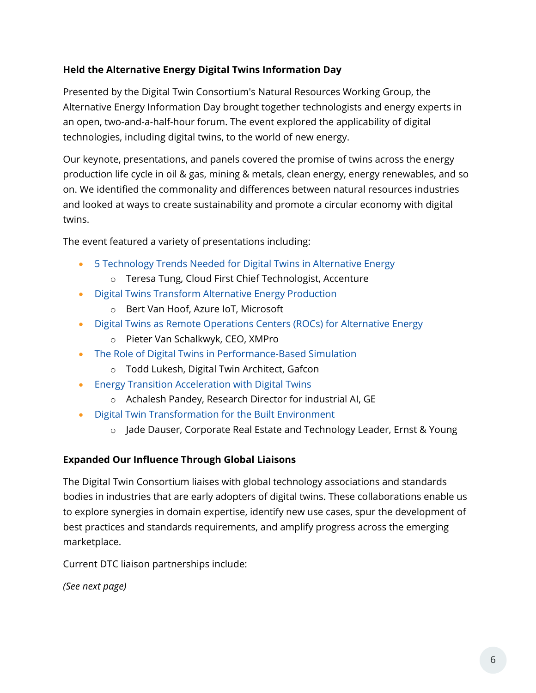#### **Held the Alternative Energy Digital Twins Information Day**

Presented by the Digital Twin Consortium's Natural Resources Working Group, the Alternative Energy Information Day brought together technologists and energy experts in an open, two-and-a-half-hour forum. The event explored the applicability of digital technologies, including digital twins, to the world of new energy.

Our keynote, presentations, and panels covered the promise of twins across the energy production life cycle in oil & gas, mining & metals, clean energy, energy renewables, and so on. We identified the commonality and differences between natural resources industries and looked at ways to create sustainability and promote a circular economy with digital twins.

The event featured a variety of presentations including:

- [5 Technology Trends Needed for Digital Twins in Alternative Energy](https://www.brighttalk.com/webcast/18347/545931?utm_source=DigitalTwinConsortium&utm_medium=brighttalk&utm_campaign=545931)
	- o Teresa Tung, Cloud First Chief Technologist, Accenture
- [Digital Twins Transform Alternative Energy Production](https://www.brighttalk.com/webcast/18347/545956?utm_source=DigitalTwinConsortium&utm_medium=brighttalk&utm_campaign=545956)
	- o Bert Van Hoof, Azure IoT, Microsoft
- [Digital Twins as Remote Operations Centers \(ROCs\) for Alternative Energy](https://www.brighttalk.com/webcast/18347/546104?utm_source=DigitalTwinConsortium&utm_medium=brighttalk&utm_campaign=546104)
	- o Pieter Van Schalkwyk, CEO, XMPro
- [The Role of Digital Twins in Performance-Based Simulation](https://www.brighttalk.com/webcast/18347/545960?utm_source=DigitalTwinConsortium&utm_medium=brighttalk&utm_campaign=545960)
	- o Todd Lukesh, Digital Twin Architect, Gafcon
- [Energy Transition Acceleration with Digital Twins](https://www.brighttalk.com/webcast/18347/545952)
	- o Achalesh Pandey, Research Director for industrial AI, GE
- [Digital Twin Transformation for the Built Environment](https://www.brighttalk.com/webcast/18347/545940?utm_source=DigitalTwinConsortium&utm_medium=brighttalk&utm_campaign=545940)
	- o Jade Dauser, Corporate Real Estate and Technology Leader, Ernst & Young

#### **Expanded Our Influence Through Global Liaisons**

The Digital Twin Consortium liaises with global technology associations and standards bodies in industries that are early adopters of digital twins. These collaborations enable us to explore synergies in domain expertise, identify new use cases, spur the development of best practices and standards requirements, and amplify progress across the emerging marketplace.

Current DTC liaison partnerships include:

*(See next page)*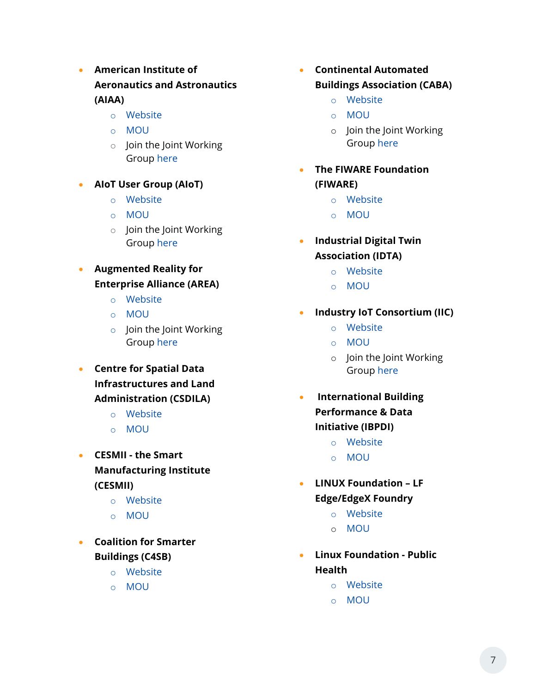- **American Institute of Aeronautics and Astronautics (AIAA)**
	- o [Website](https://www.aiaa.org/)
	- o [MOU](https://engage.digitaltwinconsortium.org/wg/all-members/document/1142)
	- o Join the Joint Working Group [here](https://engage.digitaltwinconsortium.org/workgroup/index)
- **AIoT User Group (AIoT)**
	- o [Website](https://aiotug.org/index.html)
	- o [MOU](https://engage.digitaltwinconsortium.org/wg/all-members/document/992)
	- o Join the Joint Working Group [here](https://engage.digitaltwinconsortium.org/workgroup/index)
- **Augmented Reality for Enterprise Alliance (AREA)**
	- o [Website](https://www.thearea.org/)
	- o [MOU](https://engage.digitaltwinconsortium.org/wg/all-members/document/1306)
	- o Join the Joint Working Group [here](https://engage.digitaltwinconsortium.org/workgroup/index)
- **Centre for Spatial Data Infrastructures and Land Administration (CSDILA)**
	- o [Website](https://eng.unimelb.edu.au/csdila)
	- o [MOU](https://engage.digitaltwinconsortium.org/wg/all-members/document/1598)
- **CESMII - the Smart Manufacturing Institute (CESMII)**
	- o [Website](https://www.cesmii.org/)
	- o [MOU](https://engage.digitaltwinconsortium.org/wg/all-members/document/1171)
- **Coalition for Smarter Buildings (C4SB)**
	- o [Website](https://www.c4sb.org/)
	- o [MOU](https://engage.digitaltwinconsortium.org/wg/all-members/document/1288)
- **Continental Automated Buildings Association (CABA)**
	- o [Website](https://www.caba.org/)
	- o [MOU](https://engage.digitaltwinconsortium.org/wg/all-members/document/1100)
	- o Join the Joint Working Group [here](https://engage.digitaltwinconsortium.org/workgroup/index)
- **The FIWARE Foundation (FIWARE)**
	- o [Website](https://www.fiware.org/)
	- o [MOU](https://engage.digitaltwinconsortium.org/wg/all-members/document/995)
- **Industrial Digital Twin Association (IDTA)**
	- o [Website](https://industrialdigitaltwin.org/en/)
	- o [MOU](https://engage.digitaltwinconsortium.org/wg/all-members/document/1212)
- **Industry IoT Consortium (IIC)**
	- o [Website](https://www.iiconsortium.org/)
	- o [MOU](https://engage.digitaltwinconsortium.org/wg/all-members/document/994)
	- o Join the Joint Working Group [here](https://engage.digitaltwinconsortium.org/workgroup/index)
- **International Building Performance & Data Initiative (IBPDI)**
	- o [Website](https://ibpdi.org/)
	- o [MOU](https://engage.digitaltwinconsortium.org/wg/all-members/document/1134)
- **LINUX Foundation – LF Edge/EdgeX Foundry**
	- o [Website](https://www.lfedge.org/)
	- o [MOU](https://engage.digitaltwinconsortium.org/wg/all-members/document/989)
- **Linux Foundation - Public Health**
	- o [Website](https://www.lfph.io/)
	- o [MOU](https://engage.digitaltwinconsortium.org/wg/all-members/document/1521)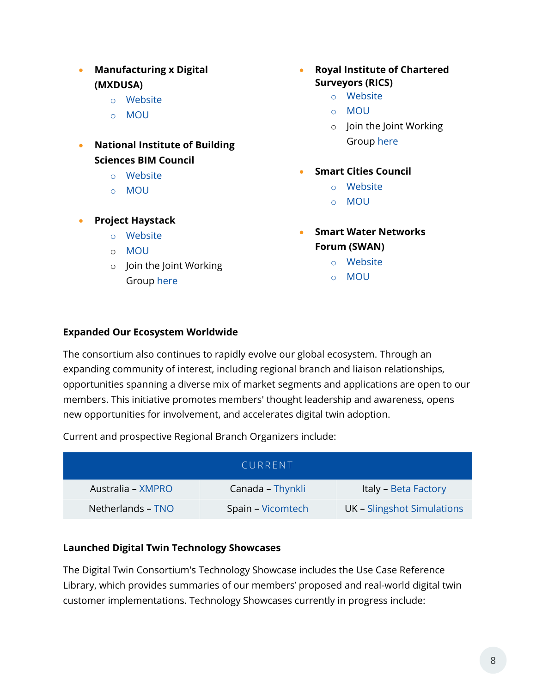- **Manufacturing x Digital (MXDUSA)**
	- o [Website](https://www.mxdusa.org/)
	- o [MOU](https://engage.digitaltwinconsortium.org/wg/all-members/document/991)
- **National Institute of Building Sciences BIM Council**
	- o [Website](https://www.nibs.org/bimc)
	- o [MOU](https://engage.digitaltwinconsortium.org/wg/all-members/document/1607)
- **Project Haystack**
	- o [Website](https://project-haystack.org/)
	- o [MOU](https://engage.digitaltwinconsortium.org/wg/all-members/document/1392)
	- o Join the Joint Working Group [here](https://engage.digitaltwinconsortium.org/workgroup/index)
- **Royal Institute of Chartered Surveyors (RICS)**
	- o [Website](https://www.rics.org/north-america/)
	- o [MOU](https://engage.digitaltwinconsortium.org/wg/all-members/document/993)
	- o Join the Joint Working Group [here](https://engage.digitaltwinconsortium.org/workgroup/index)
	- **Smart Cities Council**
		- o [Website](https://www.smartcitiescouncil.com/)
		- o [MOU](https://engage.digitaltwinconsortium.org/wg/all-members/document/1590)
- **Smart Water Networks Forum (SWAN)**
	- o [Website](https://www.swan-forum.com/)
	- o [MOU](https://engage.digitaltwinconsortium.org/wg/all-members/document/990)

#### **Expanded Our Ecosystem Worldwide**

The consortium also continues to rapidly evolve our global ecosystem. Through an expanding community of interest, including regional branch and liaison relationships, opportunities spanning a diverse mix of market segments and applications are open to our members. This initiative promotes members' thought leadership and awareness, opens new opportunities for involvement, and accelerates digital twin adoption.

Current and prospective Regional Branch Organizers include:

| CURRENT           |                   |                            |
|-------------------|-------------------|----------------------------|
| Australia – XMPRO | Canada - Thynkli  | Italy - Beta Factory       |
| Netherlands – TNO | Spain – Vicomtech | UK - Slingshot Simulations |

#### **Launched Digital Twin Technology Showcases**

The Digital Twin Consortium's Technology Showcase includes the Use Case Reference Library, which provides summaries of our members' proposed and real-world digital twin customer implementations. Technology Showcases currently in progress include: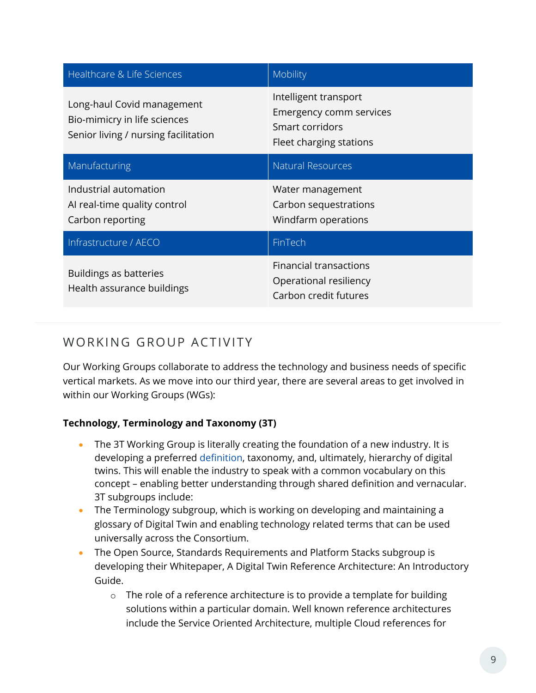| Healthcare & Life Sciences                                                                         | Mobility                                                                                       |
|----------------------------------------------------------------------------------------------------|------------------------------------------------------------------------------------------------|
| Long-haul Covid management<br>Bio-mimicry in life sciences<br>Senior living / nursing facilitation | Intelligent transport<br>Emergency comm services<br>Smart corridors<br>Fleet charging stations |
| Manufacturing                                                                                      | <b>Natural Resources</b>                                                                       |
| Industrial automation<br>Al real-time quality control<br>Carbon reporting                          | Water management<br>Carbon sequestrations<br>Windfarm operations                               |
| Infrastructure / AECO                                                                              | FinTech                                                                                        |
| Buildings as batteries<br>Health assurance buildings                                               | <b>Financial transactions</b><br>Operational resiliency<br>Carbon credit futures               |

## WORKING GROUP ACTIVITY

Our Working Groups collaborate to address the technology and business needs of specific vertical markets. As we move into our third year, there are several areas to get involved in within our Working Groups (WGs):

#### **Technology, Terminology and Taxonomy (3T)**

- The 3T Working Group is literally creating the foundation of a new industry. It is developing a preferred [definition,](https://www.digitaltwinconsortium.org/initiatives/the-definition-of-a-digital-twin.htm) taxonomy, and, ultimately, hierarchy of digital twins. This will enable the industry to speak with a common vocabulary on this concept – enabling better understanding through shared definition and vernacular. 3T subgroups include:
- The Terminology subgroup, which is working on developing and maintaining a glossary of Digital Twin and enabling technology related terms that can be used universally across the Consortium.
- The Open Source, Standards Requirements and Platform Stacks subgroup is developing their Whitepaper, A Digital Twin Reference Architecture: An Introductory Guide.
	- $\circ$  The role of a reference architecture is to provide a template for building solutions within a particular domain. Well known reference architectures include the Service Oriented Architecture, multiple Cloud references for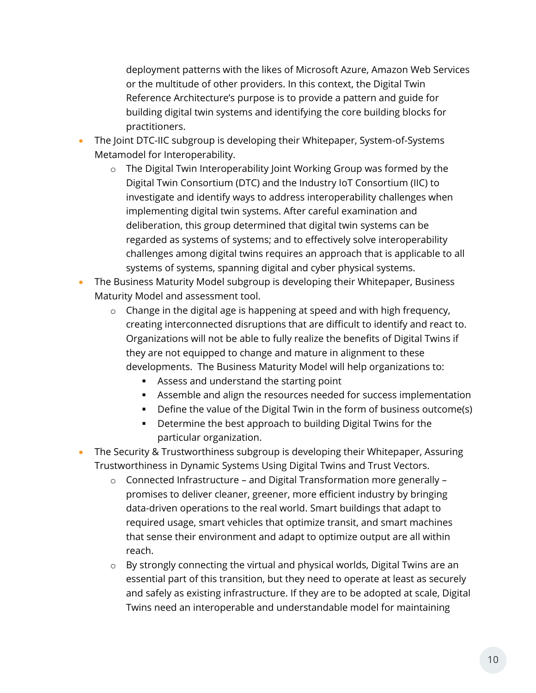deployment patterns with the likes of Microsoft Azure, Amazon Web Services or the multitude of other providers. In this context, the Digital Twin Reference Architecture's purpose is to provide a pattern and guide for building digital twin systems and identifying the core building blocks for practitioners.

- The Joint DTC-IIC subgroup is developing their Whitepaper, System-of-Systems Metamodel for Interoperability.
	- o The Digital Twin Interoperability Joint Working Group was formed by the Digital Twin Consortium (DTC) and the Industry IoT Consortium (IIC) to investigate and identify ways to address interoperability challenges when implementing digital twin systems. After careful examination and deliberation, this group determined that digital twin systems can be regarded as systems of systems; and to effectively solve interoperability challenges among digital twins requires an approach that is applicable to all systems of systems, spanning digital and cyber physical systems.
- The Business Maturity Model subgroup is developing their Whitepaper, Business Maturity Model and assessment tool.
	- o Change in the digital age is happening at speed and with high frequency, creating interconnected disruptions that are difficult to identify and react to. Organizations will not be able to fully realize the benefits of Digital Twins if they are not equipped to change and mature in alignment to these developments. The Business Maturity Model will help organizations to:
		- Assess and understand the starting point
		- Assemble and align the resources needed for success implementation
		- **•** Define the value of the Digital Twin in the form of business outcome(s)
		- Determine the best approach to building Digital Twins for the particular organization.
- The Security & Trustworthiness subgroup is developing their Whitepaper, Assuring Trustworthiness in Dynamic Systems Using Digital Twins and Trust Vectors.
	- o Connected Infrastructure and Digital Transformation more generally promises to deliver cleaner, greener, more efficient industry by bringing data-driven operations to the real world. Smart buildings that adapt to required usage, smart vehicles that optimize transit, and smart machines that sense their environment and adapt to optimize output are all within reach.
	- o By strongly connecting the virtual and physical worlds, Digital Twins are an essential part of this transition, but they need to operate at least as securely and safely as existing infrastructure. If they are to be adopted at scale, Digital Twins need an interoperable and understandable model for maintaining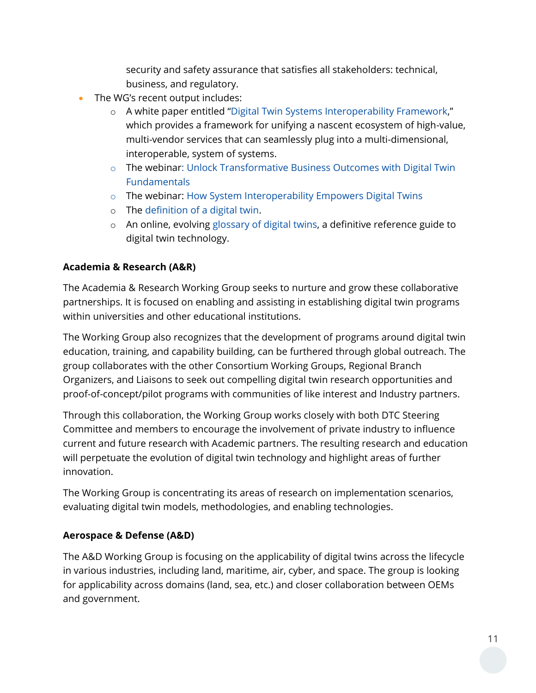security and safety assurance that satisfies all stakeholders: technical, business, and regulatory.

- The WG's recent output includes:
	- o A white paper entitled "[Digital Twin Systems Interoperability Framework,](https://www.digitaltwinconsortium.org/pdf/Digital-Twin-System-Interoperability-Framework-12072021.pdf)" which provides a framework for unifying a nascent ecosystem of high-value, multi-vendor services that can seamlessly plug into a multi-dimensional, interoperable, system of systems.
	- o The webinar: [Unlock Transformative Business Outcomes with Digital Twin](https://www.digitaltwinconsortium.org/webinars.htm)  **[Fundamentals](https://www.digitaltwinconsortium.org/webinars.htm)**
	- o The webinar: [How System Interoperability Empowers Digital](https://www.digitaltwinconsortium.org/webinars.htm) Twins
	- o The [definition of a digital twin.](https://www.digitaltwinconsortium.org/initiatives/the-definition-of-a-digital-twin.htm)
	- o An online, evolving [glossary of digital twins,](https://www.digitaltwinconsortium.org/glossary/index.htm) a definitive reference guide to digital twin technology.

#### **Academia & Research (A&R)**

The Academia & Research Working Group seeks to nurture and grow these collaborative partnerships. It is focused on enabling and assisting in establishing digital twin programs within universities and other educational institutions.

The Working Group also recognizes that the development of programs around digital twin education, training, and capability building, can be furthered through global outreach. The group collaborates with the other Consortium Working Groups, Regional Branch Organizers, and Liaisons to seek out compelling digital twin research opportunities and proof-of-concept/pilot programs with communities of like interest and Industry partners.

Through this collaboration, the Working Group works closely with both DTC Steering Committee and members to encourage the involvement of private industry to influence current and future research with Academic partners. The resulting research and education will perpetuate the evolution of digital twin technology and highlight areas of further innovation.

The Working Group is concentrating its areas of research on implementation scenarios, evaluating digital twin models, methodologies, and enabling technologies.

#### **Aerospace & Defense (A&D)**

The A&D Working Group is focusing on the applicability of digital twins across the lifecycle in various industries, including land, maritime, air, cyber, and space. The group is looking for applicability across domains (land, sea, etc.) and closer collaboration between OEMs and government.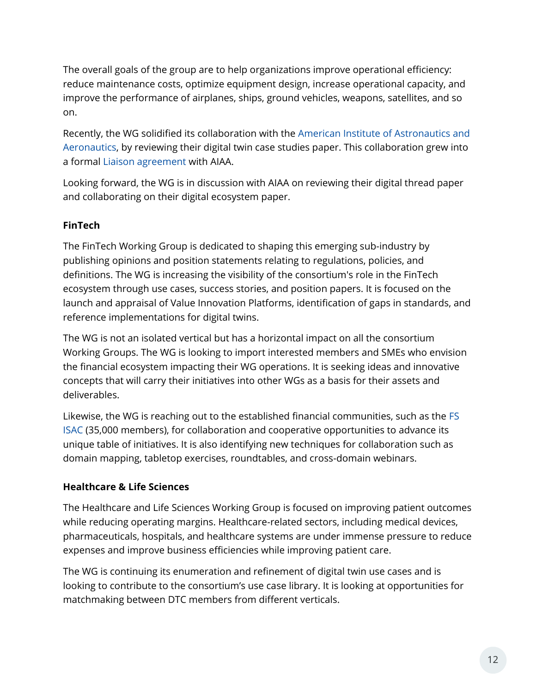The overall goals of the group are to help organizations improve operational efficiency: reduce maintenance costs, optimize equipment design, increase operational capacity, and improve the performance of airplanes, ships, ground vehicles, weapons, satellites, and so on.

Recently, the WG solidified its collaboration with the [American Institute of Astronautics and](https://www.aiaa.org/)  [Aeronautics,](https://www.aiaa.org/) by reviewing their digital twin case studies paper. This collaboration grew into a formal [Liaison agreement](https://www.digitaltwinconsortium.org/liaisons.htm) with AIAA.

Looking forward, the WG is in discussion with AIAA on reviewing their digital thread paper and collaborating on their digital ecosystem paper.

#### **FinTech**

The FinTech Working Group is dedicated to shaping this emerging sub-industry by publishing opinions and position statements relating to regulations, policies, and definitions. The WG is increasing the visibility of the consortium's role in the FinTech ecosystem through use cases, success stories, and position papers. It is focused on the launch and appraisal of Value Innovation Platforms, identification of gaps in standards, and reference implementations for digital twins.

The WG is not an isolated vertical but has a horizontal impact on all the consortium Working Groups. The WG is looking to import interested members and SMEs who envision the financial ecosystem impacting their WG operations. It is seeking ideas and innovative concepts that will carry their initiatives into other WGs as a basis for their assets and deliverables.

Likewise, the WG is reaching out to the established financial communities, such as the [FS](https://www.fsisac.com/)  [ISAC](https://www.fsisac.com/) (35,000 members), for collaboration and cooperative opportunities to advance its unique table of initiatives. It is also identifying new techniques for collaboration such as domain mapping, tabletop exercises, roundtables, and cross-domain webinars.

#### **Healthcare & Life Sciences**

The Healthcare and Life Sciences Working Group is focused on improving patient outcomes while reducing operating margins. Healthcare-related sectors, including medical devices, pharmaceuticals, hospitals, and healthcare systems are under immense pressure to reduce expenses and improve business efficiencies while improving patient care.

The WG is continuing its enumeration and refinement of digital twin use cases and is looking to contribute to the consortium's use case library. It is looking at opportunities for matchmaking between DTC members from different verticals.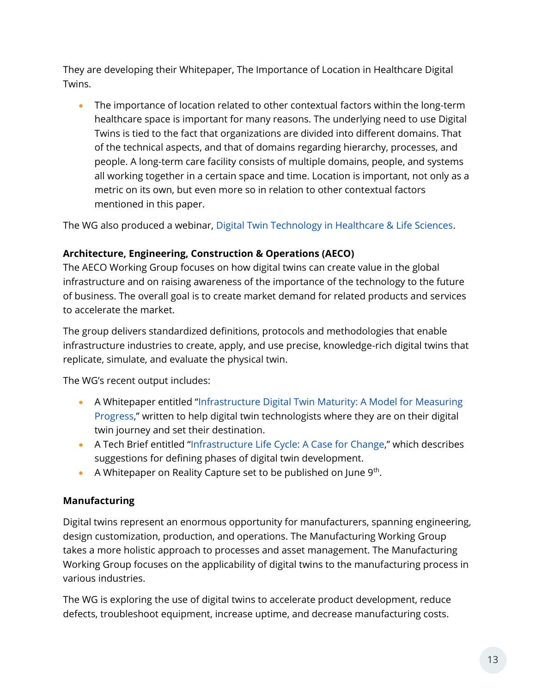They are developing their Whitepaper, The Importance of Location in Healthcare Digital Twins.

• The importance of location related to other contextual factors within the long-term healthcare space is important for many reasons. The underlying need to use Digital Twins is tied to the fact that organizations are divided into different domains. That of the technical aspects, and that of domains regarding hierarchy, processes, and people. A long-term care facility consists of multiple domains, people, and systems all working together in a certain space and time. Location is important, not only as a metric on its own, but even more so in relation to other contextual factors mentioned in this paper.

The WG also produced a webinar, [Digital Twin Technology in Healthcare & Life Sciences.](https://www.brighttalk.com/webcast/18347/481614)

#### **Architecture, Engineering, Construction & Operations (AECO)**

The AECO Working Group focuses on how digital twins can create value in the global infrastructure and on raising awareness of the importance of the technology to the future of business. The overall goal is to create market demand for related products and services to accelerate the market.

The group delivers standardized definitions, protocols and methodologies that enable infrastructure industries to create, apply, and use precise, knowledge-rich digital twins that replicate, simulate, and evaluate the physical twin.

The WG's recent output includes:

- A Whitepaper entitled "[Infrastructure Digital Twin Maturity: A Model for Measuring](https://www.digitaltwinconsortium.org/working-groups/infrastructure.htm)  [Progress](https://www.digitaltwinconsortium.org/working-groups/infrastructure.htm)," written to help digital twin technologists where they are on their digital twin journey and set their destination.
- A Tech Brief entitled "[Infrastructure Life Cycle: A Case for Change](https://www.digitaltwinconsortium.org/pdf/Tech-Brief-Infrastructure-Life-Cycle-01-04-2022.pdf)," which describes suggestions for defining phases of digital twin development.
- A Whitepaper on Reality Capture set to be published on June  $9<sup>th</sup>$ .

#### **Manufacturing**

Digital twins represent an enormous opportunity for manufacturers, spanning engineering, design customization, production, and operations. The Manufacturing Working Group takes a more holistic approach to processes and asset management. The Manufacturing Working Group focuses on the applicability of digital twins to the manufacturing process in various industries.

The WG is exploring the use of digital twins to accelerate product development, reduce defects, troubleshoot equipment, increase uptime, and decrease manufacturing costs.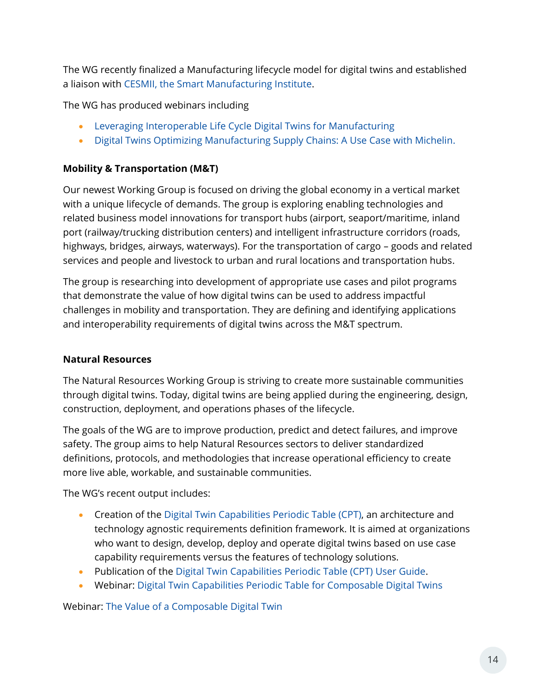The WG recently finalized a Manufacturing lifecycle model for digital twins and established a liaison with [CESMII, the Smart Manufacturing Institute.](https://www.cesmii.org/)

The WG has produced webinars including

- [Leveraging Interoperable Life Cycle Digital Twins for Manufacturing](https://www.brighttalk.com/webcast/18347/497107)
- [Digital Twins Optimizing Manufacturing Supply Chains: A Use Case with Michelin.](https://www.brighttalk.com/webcast/18347/480847)

#### **Mobility & Transportation (M&T)**

Our newest Working Group is focused on driving the global economy in a vertical market with a unique lifecycle of demands. The group is exploring enabling technologies and related business model innovations for transport hubs (airport, seaport/maritime, inland port (railway/trucking distribution centers) and intelligent infrastructure corridors (roads, highways, bridges, airways, waterways). For the transportation of cargo – goods and related services and people and livestock to urban and rural locations and transportation hubs.

The group is researching into development of appropriate use cases and pilot programs that demonstrate the value of how digital twins can be used to address impactful challenges in mobility and transportation. They are defining and identifying applications and interoperability requirements of digital twins across the M&T spectrum.

#### **Natural Resources**

The Natural Resources Working Group is striving to create more sustainable communities through digital twins. Today, digital twins are being applied during the engineering, design, construction, deployment, and operations phases of the lifecycle.

The goals of the WG are to improve production, predict and detect failures, and improve safety. The group aims to help Natural Resources sectors to deliver standardized definitions, protocols, and methodologies that increase operational efficiency to create more live able, workable, and sustainable communities.

The WG's recent output includes:

- Creation of the Digital Twin [Capabilities Periodic Table \(CPT\),](https://www.digitaltwinconsortium.org/initiatives/capabilities-periodic-table.htm) an architecture and technology agnostic requirements definition framework. It is aimed at organizations who want to design, develop, deploy and operate digital twins based on use case capability requirements versus the features of technology solutions.
- Publication of the [Digital Twin Capabilities Periodic Table \(CPT\) User Guide.](https://go.omgprograms.org/l/658223/2022-03-18/5tzckx)
- Webinar: [Digital Twin Capabilities Periodic Table for Composable Digital Twins](https://www.digitaltwinconsortium.org/webinars.htm)

Webinar: [The Value of a Composable Digital Twin](https://www.digitaltwinconsortium.org/webinars.htm)